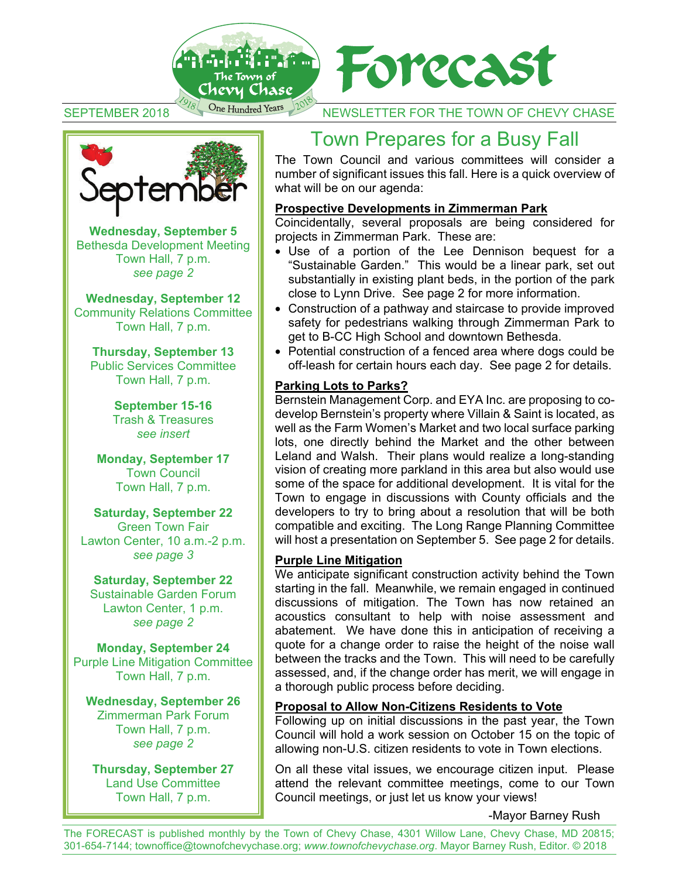



SEPTEMBER 2018 One Hundred Years NOT NEWSLETTER FOR THE TOWN OF CHEVY CHASE



**Wednesday, September 5** Bethesda Development Meeting Town Hall, 7 p.m. *see page 2* 

**Wednesday, September 12** Community Relations Committee Town Hall, 7 p.m.

**Thursday, September 13**  Public Services Committee Town Hall, 7 p.m.

> **September 15-16**  Trash & Treasures *see insert*

**Monday, September 17**  Town Council Town Hall, 7 p.m.

**Saturday, September 22**  Green Town Fair Lawton Center, 10 a.m.-2 p.m. *see page 3* 

**Saturday, September 22**  Sustainable Garden Forum Lawton Center, 1 p.m. *see page 2* 

**Monday, September 24** Purple Line Mitigation Committee Town Hall, 7 p.m.

**Wednesday, September 26**  Zimmerman Park Forum Town Hall, 7 p.m. *see page 2* 

**Thursday, September 27**  Land Use Committee Town Hall, 7 p.m.

## Town Prepares for a Busy Fall

The Town Council and various committees will consider a number of significant issues this fall. Here is a quick overview of what will be on our agenda:

#### **Prospective Developments in Zimmerman Park**

Coincidentally, several proposals are being considered for projects in Zimmerman Park. These are:

- Use of a portion of the Lee Dennison bequest for a "Sustainable Garden." This would be a linear park, set out substantially in existing plant beds, in the portion of the park close to Lynn Drive. See page 2 for more information.
- Construction of a pathway and staircase to provide improved safety for pedestrians walking through Zimmerman Park to get to B-CC High School and downtown Bethesda.
- Potential construction of a fenced area where dogs could be off-leash for certain hours each day. See page 2 for details.

#### **Parking Lots to Parks?**

Bernstein Management Corp. and EYA Inc. are proposing to codevelop Bernstein's property where Villain & Saint is located, as well as the Farm Women's Market and two local surface parking lots, one directly behind the Market and the other between Leland and Walsh. Their plans would realize a long-standing vision of creating more parkland in this area but also would use some of the space for additional development. It is vital for the Town to engage in discussions with County officials and the developers to try to bring about a resolution that will be both compatible and exciting. The Long Range Planning Committee will host a presentation on September 5. See page 2 for details.

#### **Purple Line Mitigation**

We anticipate significant construction activity behind the Town starting in the fall. Meanwhile, we remain engaged in continued discussions of mitigation. The Town has now retained an acoustics consultant to help with noise assessment and abatement. We have done this in anticipation of receiving a quote for a change order to raise the height of the noise wall between the tracks and the Town. This will need to be carefully assessed, and, if the change order has merit, we will engage in a thorough public process before deciding.

#### **Proposal to Allow Non-Citizens Residents to Vote**

Following up on initial discussions in the past year, the Town Council will hold a work session on October 15 on the topic of allowing non-U.S. citizen residents to vote in Town elections.

On all these vital issues, we encourage citizen input. Please attend the relevant committee meetings, come to our Town Council meetings, or just let us know your views!

-Mayor Barney Rush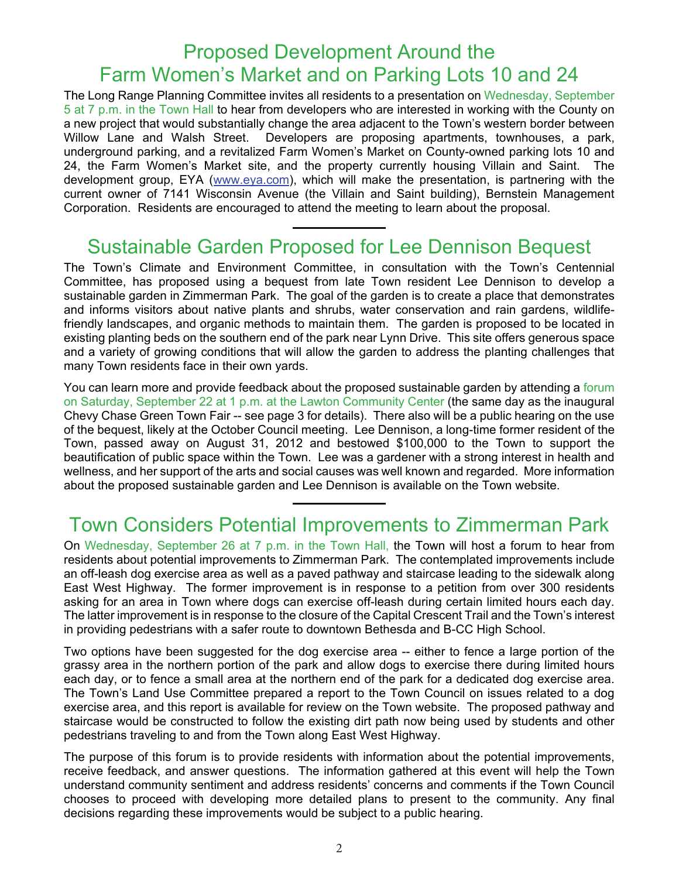## Proposed Development Around the Farm Women's Market and on Parking Lots 10 and 24

The Long Range Planning Committee invites all residents to a presentation on Wednesday, September 5 at 7 p.m. in the Town Hall to hear from developers who are interested in working with the County on a new project that would substantially change the area adjacent to the Town's western border between Willow Lane and Walsh Street. Developers are proposing apartments, townhouses, a park, underground parking, and a revitalized Farm Women's Market on County-owned parking lots 10 and 24, the Farm Women's Market site, and the property currently housing Villain and Saint. The development group, EYA (www.eya.com), which will make the presentation, is partnering with the current owner of 7141 Wisconsin Avenue (the Villain and Saint building), Bernstein Management Corporation. Residents are encouraged to attend the meeting to learn about the proposal.

## Sustainable Garden Proposed for Lee Dennison Bequest

The Town's Climate and Environment Committee, in consultation with the Town's Centennial Committee, has proposed using a bequest from late Town resident Lee Dennison to develop a sustainable garden in Zimmerman Park. The goal of the garden is to create a place that demonstrates and informs visitors about native plants and shrubs, water conservation and rain gardens, wildlifefriendly landscapes, and organic methods to maintain them. The garden is proposed to be located in existing planting beds on the southern end of the park near Lynn Drive. This site offers generous space and a variety of growing conditions that will allow the garden to address the planting challenges that many Town residents face in their own yards.

You can learn more and provide feedback about the proposed sustainable garden by attending a forum on Saturday, September 22 at 1 p.m. at the Lawton Community Center (the same day as the inaugural Chevy Chase Green Town Fair -- see page 3 for details). There also will be a public hearing on the use of the bequest, likely at the October Council meeting. Lee Dennison, a long-time former resident of the Town, passed away on August 31, 2012 and bestowed \$100,000 to the Town to support the beautification of public space within the Town. Lee was a gardener with a strong interest in health and wellness, and her support of the arts and social causes was well known and regarded. More information about the proposed sustainable garden and Lee Dennison is available on the Town website.

## Town Considers Potential Improvements to Zimmerman Park

On Wednesday, September 26 at 7 p.m. in the Town Hall, the Town will host a forum to hear from residents about potential improvements to Zimmerman Park. The contemplated improvements include an off-leash dog exercise area as well as a paved pathway and staircase leading to the sidewalk along East West Highway. The former improvement is in response to a petition from over 300 residents asking for an area in Town where dogs can exercise off-leash during certain limited hours each day. The latter improvement is in response to the closure of the Capital Crescent Trail and the Town's interest in providing pedestrians with a safer route to downtown Bethesda and B-CC High School.

Two options have been suggested for the dog exercise area -- either to fence a large portion of the grassy area in the northern portion of the park and allow dogs to exercise there during limited hours each day, or to fence a small area at the northern end of the park for a dedicated dog exercise area. The Town's Land Use Committee prepared a report to the Town Council on issues related to a dog exercise area, and this report is available for review on the Town website. The proposed pathway and staircase would be constructed to follow the existing dirt path now being used by students and other pedestrians traveling to and from the Town along East West Highway.

The purpose of this forum is to provide residents with information about the potential improvements, receive feedback, and answer questions. The information gathered at this event will help the Town understand community sentiment and address residents' concerns and comments if the Town Council chooses to proceed with developing more detailed plans to present to the community. Any final decisions regarding these improvements would be subject to a public hearing.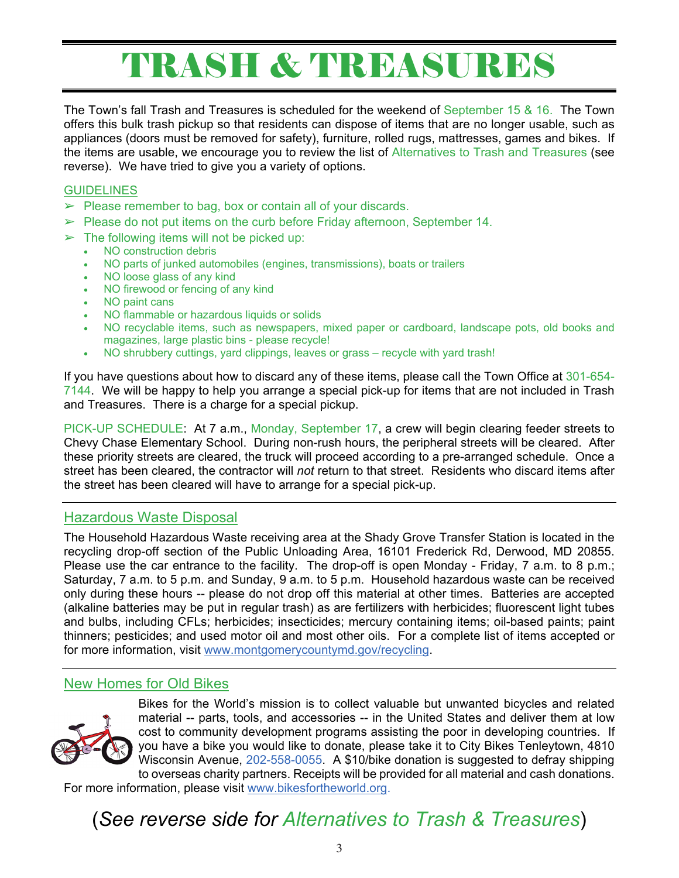# TRASH & TREASURES

The Town's fall Trash and Treasures is scheduled for the weekend of September 15 & 16. The Town offers this bulk trash pickup so that residents can dispose of items that are no longer usable, such as appliances (doors must be removed for safety), furniture, rolled rugs, mattresses, games and bikes. If the items are usable, we encourage you to review the list of Alternatives to Trash and Treasures (see reverse). We have tried to give you a variety of options.

#### **GUIDELINES**

- $\triangleright$  Please remember to bag, box or contain all of your discards.
- $\triangleright$  Please do not put items on the curb before Friday afternoon, September 14.
- $\triangleright$  The following items will not be picked up:
	- NO construction debris<br>• NO parts of junked auto
	- NO parts of junked automobiles (engines, transmissions), boats or trailers
	- NO loose glass of any kind
	- NO firewood or fencing of any kind
	- NO paint cans
	- NO flammable or hazardous liquids or solids
	- NO recyclable items, such as newspapers, mixed paper or cardboard, landscape pots, old books and magazines, large plastic bins - please recycle!
	- NO shrubbery cuttings, yard clippings, leaves or grass recycle with yard trash!

If you have questions about how to discard any of these items, please call the Town Office at 301-654- 7144. We will be happy to help you arrange a special pick-up for items that are not included in Trash and Treasures. There is a charge for a special pickup.

PICK-UP SCHEDULE: At 7 a.m., Monday, September 17, a crew will begin clearing feeder streets to Chevy Chase Elementary School. During non-rush hours, the peripheral streets will be cleared. After these priority streets are cleared, the truck will proceed according to a pre-arranged schedule. Once a street has been cleared, the contractor will *not* return to that street. Residents who discard items after the street has been cleared will have to arrange for a special pick-up.

#### Hazardous Waste Disposal

The Household Hazardous Waste receiving area at the Shady Grove Transfer Station is located in the recycling drop-off section of the Public Unloading Area, 16101 Frederick Rd, Derwood, MD 20855. Please use the car entrance to the facility. The drop-off is open Monday - Friday, 7 a.m. to 8 p.m.; Saturday, 7 a.m. to 5 p.m. and Sunday, 9 a.m. to 5 p.m. Household hazardous waste can be received only during these hours -- please do not drop off this material at other times. Batteries are accepted (alkaline batteries may be put in regular trash) as are fertilizers with herbicides; fluorescent light tubes and bulbs, including CFLs; herbicides; insecticides; mercury containing items; oil-based paints; paint thinners; pesticides; and used motor oil and most other oils. For a complete list of items accepted or for more information, visit www.montgomerycountymd.gov/recycling.

#### New Homes for Old Bikes



Bikes for the World's mission is to collect valuable but unwanted bicycles and related material -- parts, tools, and accessories -- in the United States and deliver them at low cost to community development programs assisting the poor in developing countries. If you have a bike you would like to donate, please take it to City Bikes Tenleytown, 4810 Wisconsin Avenue, 202-558-0055. A \$10/bike donation is suggested to defray shipping to overseas charity partners. Receipts will be provided for all material and cash donations. For more information, please visit www.bikesfortheworld.org.

(*See reverse side for Alternatives to Trash & Treasures*)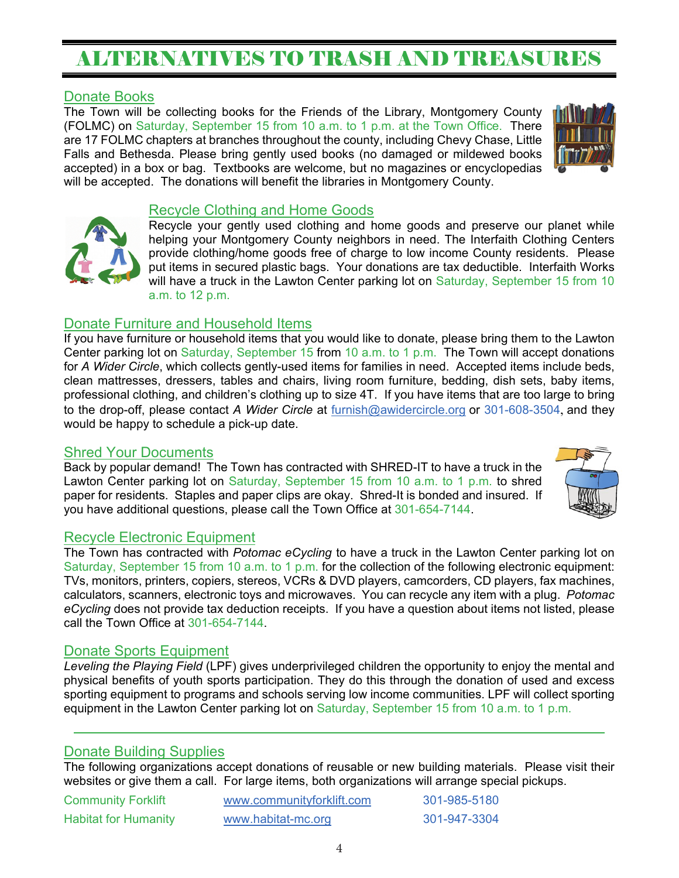# ALTERNATIVES TO TRASH AND TREASURES

#### Donate Books

The Town will be collecting books for the Friends of the Library, Montgomery County (FOLMC) on Saturday, September 15 from 10 a.m. to 1 p.m. at the Town Office. There are 17 FOLMC chapters at branches throughout the county, including Chevy Chase, Little Falls and Bethesda. Please bring gently used books (no damaged or mildewed books accepted) in a box or bag. Textbooks are welcome, but no magazines or encyclopedias will be accepted. The donations will benefit the libraries in Montgomery County.





#### Recycle Clothing and Home Goods

Recycle your gently used clothing and home goods and preserve our planet while helping your Montgomery County neighbors in need. The Interfaith Clothing Centers provide clothing/home goods free of charge to low income County residents. Please put items in secured plastic bags. Your donations are tax deductible. Interfaith Works will have a truck in the Lawton Center parking lot on Saturday, September 15 from 10 a.m. to 12 p.m.

#### Donate Furniture and Household Items

If you have furniture or household items that you would like to donate, please bring them to the Lawton Center parking lot on Saturday, September 15 from 10 a.m. to 1 p.m. The Town will accept donations for *A Wider Circle*, which collects gently-used items for families in need. Accepted items include beds, clean mattresses, dressers, tables and chairs, living room furniture, bedding, dish sets, baby items, professional clothing, and children's clothing up to size 4T. If you have items that are too large to bring to the drop-off, please contact *A Wider Circle* at furnish@awidercircle.org or 301-608-3504, and they would be happy to schedule a pick-up date.

#### Shred Your Documents

Back by popular demand! The Town has contracted with SHRED-IT to have a truck in the Lawton Center parking lot on Saturday, September 15 from 10 a.m. to 1 p.m. to shred paper for residents. Staples and paper clips are okay. Shred-It is bonded and insured. If you have additional questions, please call the Town Office at 301-654-7144.



#### Recycle Electronic Equipment

The Town has contracted with *Potomac eCycling* to have a truck in the Lawton Center parking lot on Saturday, September 15 from 10 a.m. to 1 p.m. for the collection of the following electronic equipment: TVs, monitors, printers, copiers, stereos, VCRs & DVD players, camcorders, CD players, fax machines, calculators, scanners, electronic toys and microwaves. You can recycle any item with a plug. *Potomac eCycling* does not provide tax deduction receipts. If you have a question about items not listed, please call the Town Office at 301-654-7144.

#### Donate Sports Equipment

*Leveling the Playing Field* (LPF) gives underprivileged children the opportunity to enjoy the mental and physical benefits of youth sports participation. They do this through the donation of used and excess sporting equipment to programs and schools serving low income communities. LPF will collect sporting equipment in the Lawton Center parking lot on Saturday, September 15 from 10 a.m. to 1 p.m.

#### Donate Building Supplies

The following organizations accept donations of reusable or new building materials. Please visit their websites or give them a call. For large items, both organizations will arrange special pickups.

| <b>Community Forklift</b>   | www.communityforklift.com | 301-985-5180 |
|-----------------------------|---------------------------|--------------|
| <b>Habitat for Humanity</b> | www.habitat-mc.org        | 301-947-3304 |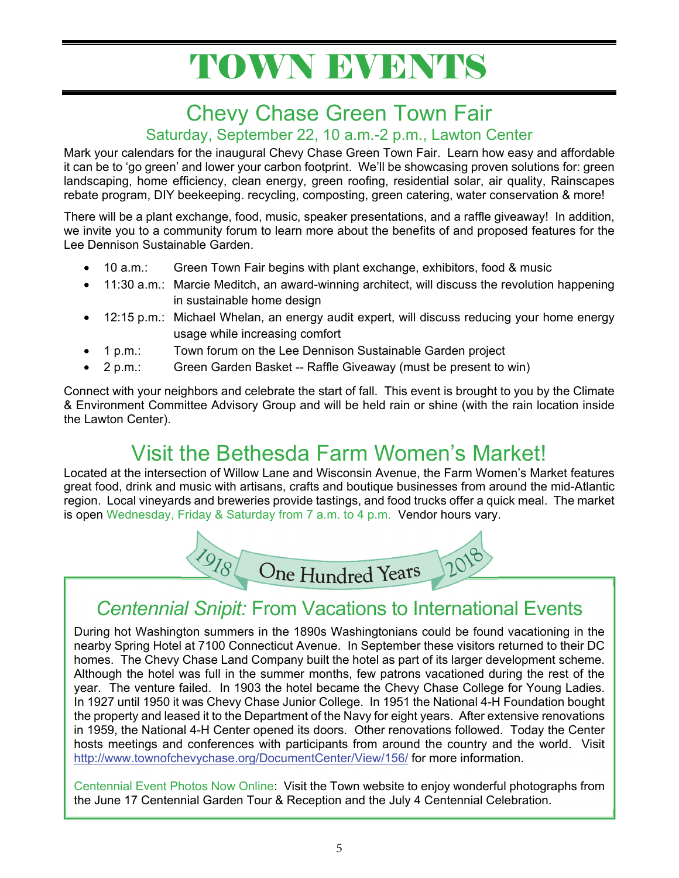# TOWN EVENTS

# Chevy Chase Green Town Fair

#### Saturday, September 22, 10 a.m.-2 p.m., Lawton Center

Mark your calendars for the inaugural Chevy Chase Green Town Fair. Learn how easy and affordable it can be to 'go green' and lower your carbon footprint. We'll be showcasing proven solutions for: green landscaping, home efficiency, clean energy, green roofing, residential solar, air quality, Rainscapes rebate program, DIY beekeeping. recycling, composting, green catering, water conservation & more!

There will be a plant exchange, food, music, speaker presentations, and a raffle giveaway! In addition, we invite you to a community forum to learn more about the benefits of and proposed features for the Lee Dennison Sustainable Garden.

- 10 a.m.: Green Town Fair begins with plant exchange, exhibitors, food & music
- 11:30 a.m.: Marcie Meditch, an award-winning architect, will discuss the revolution happening in sustainable home design
- 12:15 p.m.: Michael Whelan, an energy audit expert, will discuss reducing your home energy usage while increasing comfort
- 1 p.m.: Town forum on the Lee Dennison Sustainable Garden project
- 2 p.m.: Green Garden Basket -- Raffle Giveaway (must be present to win)

Connect with your neighbors and celebrate the start of fall. This event is brought to you by the Climate & Environment Committee Advisory Group and will be held rain or shine (with the rain location inside the Lawton Center).

# Visit the Bethesda Farm Women's Market!

Located at the intersection of Willow Lane and Wisconsin Avenue, the Farm Women's Market features great food, drink and music with artisans, crafts and boutique businesses from around the mid-Atlantic region. Local vineyards and breweries provide tastings, and food trucks offer a quick meal. The market is open Wednesday, Friday & Saturday from 7 a.m. to 4 p.m. Vendor hours vary.



## *Centennial Snipit:* From Vacations to International Events

During hot Washington summers in the 1890s Washingtonians could be found vacationing in the nearby Spring Hotel at 7100 Connecticut Avenue. In September these visitors returned to their DC homes. The Chevy Chase Land Company built the hotel as part of its larger development scheme. Although the hotel was full in the summer months, few patrons vacationed during the rest of the year. The venture failed. In 1903 the hotel became the Chevy Chase College for Young Ladies. In 1927 until 1950 it was Chevy Chase Junior College. In 1951 the National 4-H Foundation bought the property and leased it to the Department of the Navy for eight years. After extensive renovations in 1959, the National 4-H Center opened its doors. Other renovations followed. Today the Center hosts meetings and conferences with participants from around the country and the world. Visit http://www.townofchevychase.org/DocumentCenter/View/156/ for more information.

Centennial Event Photos Now Online: Visit the Town website to enjoy wonderful photographs from the June 17 Centennial Garden Tour & Reception and the July 4 Centennial Celebration.